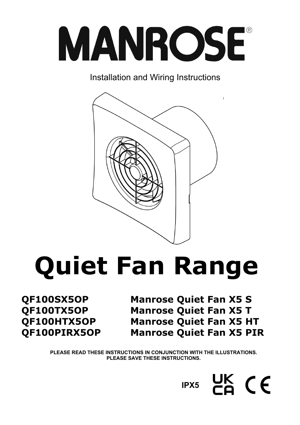

Installation and Wiring Instructions



# **Quiet Fan Range**

**QF100SX5OP Manrose Quiet Fan X5 S QF100TX5OP Manrose Quiet Fan X5 T QF100HTX5OP Manrose Quiet Fan X5 HT QF100PIRX5OP Manrose Quiet Fan X5 PIR** 

> **PLEASE READ THESE INSTRUCTIONS IN CONJUNCTION WITH THE ILLUSTRATIONS. PLEASE SAVE THESE INSTRUCTIONS.**

> > $CK$  ( $E$ **IPX5**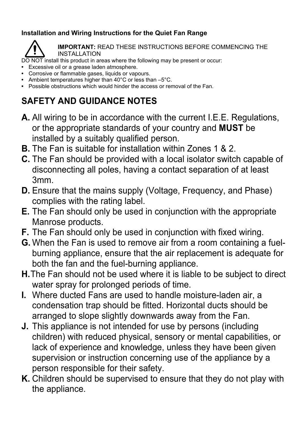# **Installation and Wiring Instructions for the Quiet Fan Range**



**IMPORTANT:** READ THESE INSTRUCTIONS BEFORE COMMENCING THE INSTALLATION

DO NOT install this product in areas where the following may be present or occur:

- **•** Excessive oil or a grease laden atmosphere.
- **•** Corrosive or flammable gases, liquids or vapours.
- Ambient temperatures higher than 40°C or less than –5°C.
- Possible obstructions which would hinder the access or removal of the Fan.

# **SAFETY AND GUIDANCE NOTES**

- **A.** All wiring to be in accordance with the current I.E.E. Regulations, or the appropriate standards of your country and **MUST** be installed by a suitably qualified person.
- **B.** The Fan is suitable for installation within Zones 1 & 2.
- **C.** The Fan should be provided with a local isolator switch capable of disconnecting all poles, having a contact separation of at least 3mm.
- **D.** Ensure that the mains supply (Voltage, Frequency, and Phase) complies with the rating label.
- **E.** The Fan should only be used in conjunction with the appropriate Manrose products.
- **F.** The Fan should only be used in conjunction with fixed wiring.
- **G.** When the Fan is used to remove air from a room containing a fuelburning appliance, ensure that the air replacement is adequate for both the fan and the fuel-burning appliance.
- **H.** The Fan should not be used where it is liable to be subject to direct water spray for prolonged periods of time.
- **I.** Where ducted Fans are used to handle moisture-laden air, a condensation trap should be fitted. Horizontal ducts should be arranged to slope slightly downwards away from the Fan.
- **J.** This appliance is not intended for use by persons (including children) with reduced physical, sensory or mental capabilities, or lack of experience and knowledge, unless they have been given supervision or instruction concerning use of the appliance by a person responsible for their safety.
- **K.** Children should be supervised to ensure that they do not play with the appliance.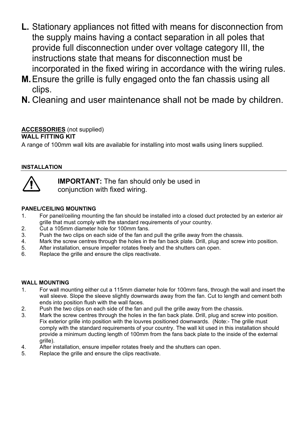- **L.** Stationary appliances not fitted with means for disconnection from the supply mains having a contact separation in all poles that provide full disconnection under over voltage category III, the instructions state that means for disconnection must be incorporated in the fixed wiring in accordance with the wiring rules.
- **M.** Ensure the grille is fully engaged onto the fan chassis using all clips.
- **N.** Cleaning and user maintenance shall not be made by children.

#### **ACCESSORIES** (not supplied) **WALL FITTING KIT**

A range of 100mm wall kits are available for installing into most walls using liners supplied.

# **INSTALLATION**



 **IMPORTANT:** The fan should only be used in conjunction with fixed wiring.

# **PANEL/CEILING MOUNTING**

- 1. For panel/ceiling mounting the fan should be installed into a closed duct protected by an exterior air grille that must comply with the standard requirements of your country.
- 2. Cut a 105mm diameter hole for 100mm fans.
- 3. Push the two clips on each side of the fan and pull the grille away from the chassis.
- 4. Mark the screw centres through the holes in the fan back plate. Drill, plug and screw into position.
- 5. After installation, ensure impeller rotates freely and the shutters can open.
- 6. Replace the grille and ensure the clips reactivate.

# **WALL MOUNTING**

- 1. For wall mounting either cut a 115mm diameter hole for 100mm fans, through the wall and insert the wall sleeve. Slope the sleeve slightly downwards away from the fan. Cut to length and cement both ends into position flush with the wall faces.
- 2. Push the two clips on each side of the fan and pull the grille away from the chassis.
- 3. Mark the screw centres through the holes in the fan back plate. Drill, plug and screw into position. Fix exterior grille into position with the louvres positioned downwards. (Note:- The grille must comply with the standard requirements of your country. The wall kit used in this installation should provide a minimum ducting length of 100mm from the fans back plate to the inside of the external grille).
- 4. After installation, ensure impeller rotates freely and the shutters can open.
- 5. Replace the grille and ensure the clips reactivate.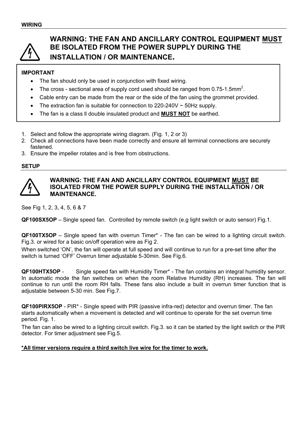

# **WARNING: THE FAN AND ANCILLARY CONTROL EQUIPMENT MUST BE ISOLATED FROM THE POWER SUPPLY DURING THE INSTALLATION / OR MAINTENANCE.**

# **IMPORTANT**

- The fan should only be used in conjunction with fixed wiring.
- The cross sectional area of supply cord used should be ranged from 0.75-1.5mm<sup>2</sup>.
- Cable entry can be made from the rear or the side of the fan using the grommet provided.
- The extraction fan is suitable for connection to  $220-240V \sim 50Hz$  supply.
- The fan is a class ll double insulated product and **MUST NOT** be earthed.
- 1. Select and follow the appropriate wiring diagram. (Fig. 1, 2 or 3)
- 2. Check all connections have been made correctly and ensure all terminal connections are securely fastened.
- 3. Ensure the impeller rotates and is free from obstructions.

## **SETUP**



### **WARNING: THE FAN AND ANCILLARY CONTROL EQUIPMENT MUST BE ISOLATED FROM THE POWER SUPPLY DURING THE INSTALLATION / OR MAINTENANCE.**

See Fig 1, 2, 3, 4, 5, 6 & 7

**QF100SX5OP** – Single speed fan. Controlled by remote switch (e.g light switch or auto sensor) Fig.1.

**QF100TX5OP** – Single speed fan with overrun Timer\* - The fan can be wired to a lighting circuit switch. Fig.3. or wired for a basic on/off operation wire as Fig 2.

When switched 'ON', the fan will operate at full speed and will continue to run for a pre-set time after the switch is turned 'OFF' Overrun timer adjustable 5-30min. See Fig.6.

**QF100HTX5OP** - Single speed fan with Humidity Timer\* - The fan contains an integral humidity sensor. In automatic mode the fan switches on when the room Relative Humidity (RH) increases. The fan will continue to run until the room RH falls. These fans also include a built in overrun timer function that is adjustable between 5-30 min. See Fig.7.

**QF100PIRX5OP** - PIR\* - Single speed with PIR (passive infra-red) detector and overrun timer. The fan starts automatically when a movement is detected and will continue to operate for the set overrun time period. Fig. 1.

The fan can also be wired to a lighting circuit switch. Fig.3. so it can be started by the light switch or the PIR detector. For timer adjustment see Fig.5.

#### **\*All timer versions require a third switch live wire for the timer to work.**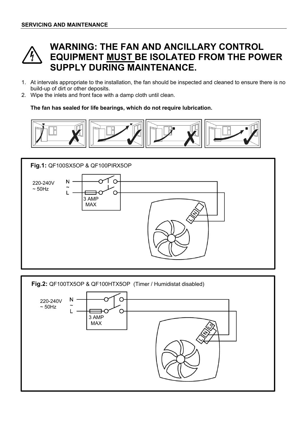

# **WARNING: THE FAN AND ANCILLARY CONTROL EQUIPMENT MUST BE ISOLATED FROM THE POWER SUPPLY DURING MAINTENANCE.**

- 1. At intervals appropriate to the installation, the fan should be inspected and cleaned to ensure there is no build-up of dirt or other deposits.
- 2. Wipe the inlets and front face with a damp cloth until clean.

**The fan has sealed for life bearings, which do not require lubrication.** 



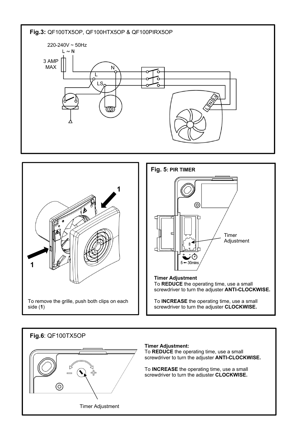



# **Fig.6**: QF100TX5OP



#### **Timer Adjustment:**

To **REDUCE** the operating time, use a small screwdriver to turn the adjuster **ANTI-CLOCKWISE.** 

To **INCREASE** the operating time, use a small screwdriver to turn the adjuster **CLOCKWISE.**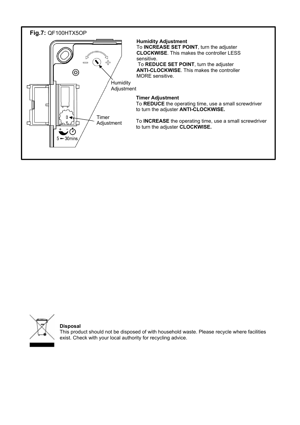



**Disposal** 

This product should not be disposed of with household waste. Please recycle where facilities exist. Check with your local authority for recycling advice.